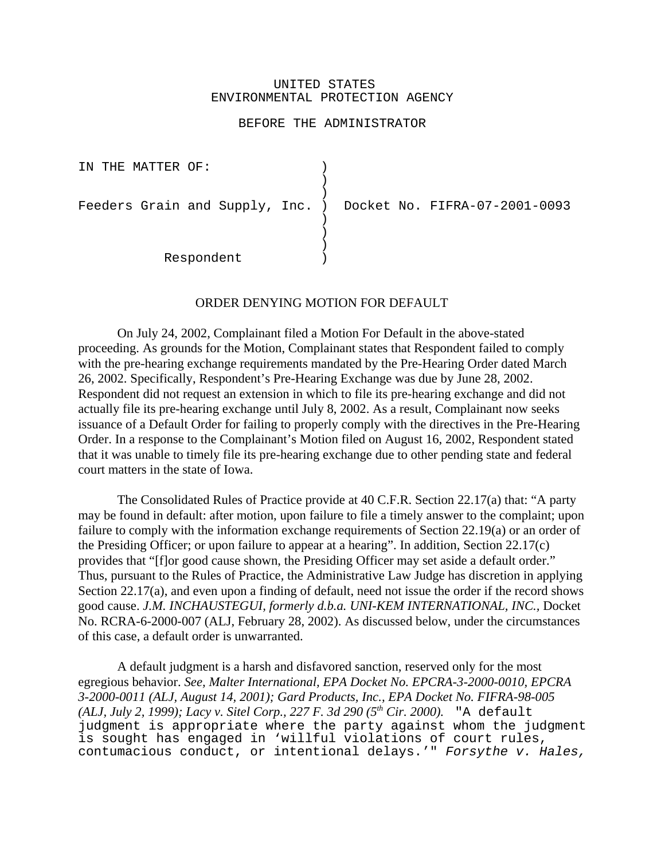## UNITED STATES ENVIRONMENTAL PROTECTION AGENCY

## BEFORE THE ADMINISTRATOR

IN THE MATTER OF:  $)$ )  $\lambda$ Feeders Grain and Supply, Inc. ) Docket No. FIFRA-07-2001-0093  $\left( \right)$ ) ) Respondent )

## ORDER DENYING MOTION FOR DEFAULT

On July 24, 2002, Complainant filed a Motion For Default in the above-stated proceeding. As grounds for the Motion, Complainant states that Respondent failed to comply with the pre-hearing exchange requirements mandated by the Pre-Hearing Order dated March 26, 2002. Specifically, Respondent's Pre-Hearing Exchange was due by June 28, 2002. Respondent did not request an extension in which to file its pre-hearing exchange and did not actually file its pre-hearing exchange until July 8, 2002. As a result, Complainant now seeks issuance of a Default Order for failing to properly comply with the directives in the Pre-Hearing Order. In a response to the Complainant's Motion filed on August 16, 2002, Respondent stated that it was unable to timely file its pre-hearing exchange due to other pending state and federal court matters in the state of Iowa.

The Consolidated Rules of Practice provide at 40 C.F.R. Section 22.17(a) that: "A party may be found in default: after motion, upon failure to file a timely answer to the complaint; upon failure to comply with the information exchange requirements of Section 22.19(a) or an order of the Presiding Officer; or upon failure to appear at a hearing". In addition, Section 22.17(c) provides that "[f]or good cause shown, the Presiding Officer may set aside a default order." Thus, pursuant to the Rules of Practice, the Administrative Law Judge has discretion in applying Section 22.17(a), and even upon a finding of default, need not issue the order if the record shows good cause. *J.M. INCHAUSTEGUI, formerly d.b.a. UNI-KEM INTERNATIONAL, INC.,* Docket No. RCRA-6-2000-007 (ALJ, February 28, 2002). As discussed below, under the circumstances of this case, a default order is unwarranted.

A default judgment is a harsh and disfavored sanction, reserved only for the most egregious behavior. *See, Malter International, EPA Docket No. EPCRA-3-2000-0010, EPCRA 3-2000-0011 (ALJ, August 14, 2001); Gard Products, Inc., EPA Docket No. FIFRA-98-005 (ALJ, July 2, 1999); Lacy v. Sitel Corp., 227 F. 3d 290 (5<sup>th</sup> Cir. 2000).* "A default judgment is appropriate where the party against whom the judgment is sought has engaged in 'willful violations of court rules, contumacious conduct, or intentional delays.'" Forsythe v. Hales,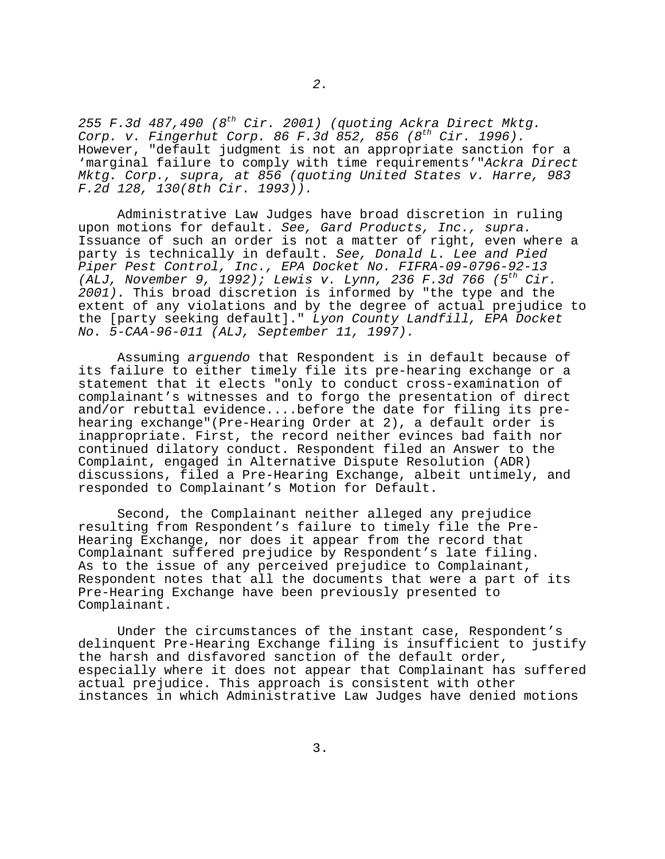255 F.3d 487,490 ( $8^{th}$  Cir. 2001) (quoting Ackra Direct Mktg. Corp. v. Fingerhut Corp. 86 F.3d  $852$ ,  $856$  ( $8^{th}$  Cir. 1996). However, "default judgment is not an appropriate sanction for a 'marginal failure to comply with time requirements'"Ackra Direct Mktg. Corp., supra, at 856 (quoting United States v. Harre, 983 F.2d 128, 130(8th Cir. 1993)).

Administrative Law Judges have broad discretion in ruling upon motions for default. See, Gard Products, Inc., supra. Issuance of such an order is not a matter of right, even where a party is technically in default. See, Donald L. Lee and Pied Piper Pest Control, Inc., EPA Docket No. FIFRA-09-0796-92-13 (ALJ, November 9, 1992); Lewis v. Lynn, 236 F.3d 766 (5<sup>th</sup> Cir. 2001). This broad discretion is informed by "the type and the extent of any violations and by the degree of actual prejudice to the [party seeking default]." Lyon County Landfill, EPA Docket No. 5-CAA-96-011 (ALJ, September 11, 1997).

Assuming arguendo that Respondent is in default because of its failure to either timely file its pre-hearing exchange or a statement that it elects "only to conduct cross-examination of complainant's witnesses and to forgo the presentation of direct and/or rebuttal evidence....before the date for filing its pre hearing exchange"(Pre-Hearing Order at 2), a default order is inappropriate. First, the record neither evinces bad faith nor continued dilatory conduct. Respondent filed an Answer to the Complaint, engaged in Alternative Dispute Resolution (ADR) discussions, filed a Pre-Hearing Exchange, albeit untimely, and responded to Complainant's Motion for Default.

Second, the Complainant neither alleged any prejudice resulting from Respondent's failure to timely file the Pre- Hearing Exchange, nor does it appear from the record that Complainant suffered prejudice by Respondent's late filing. As to the issue of any perceived prejudice to Complainant, Respondent notes that all the documents that were a part of its Pre-Hearing Exchange have been previously presented to Complainant.

Under the circumstances of the instant case, Respondent's delinquent Pre-Hearing Exchange filing is insufficient to justify the harsh and disfavored sanction of the default order, especially where it does not appear that Complainant has suffered actual prejudice. This approach is consistent with other instances in which Administrative Law Judges have denied motions